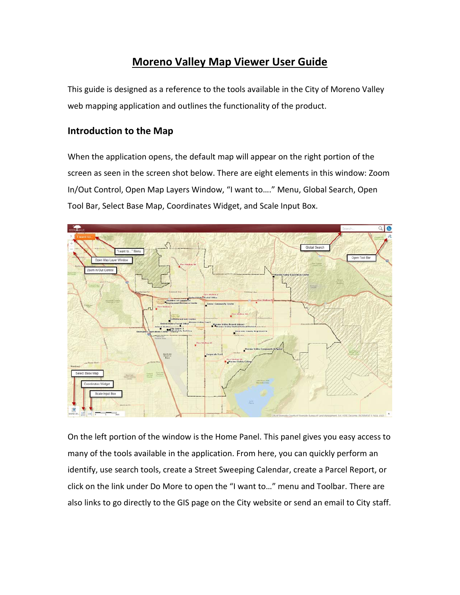## **Moreno Valley Map Viewer User Guide**

This guide is designed as a reference to the tools available in the City of Moreno Valley web mapping application and outlines the functionality of the product.

#### **Introduction to the Map**

When the application opens, the default map will appear on the right portion of the screen as seen in the screen shot below. There are eight elements in this window: Zoom In/Out Control, Open Map Layers Window, "I want to…." Menu, Global Search, Open Tool Bar, Select Base Map, Coordinates Widget, and Scale Input Box.



On the left portion of the window is the Home Panel. This panel gives you easy access to many of the tools available in the application. From here, you can quickly perform an identify, use search tools, create a Street Sweeping Calendar, create a Parcel Report, or click on the link under Do More to open the "I want to…" menu and Toolbar. There are also links to go directly to the GIS page on the City website or send an email to City staff.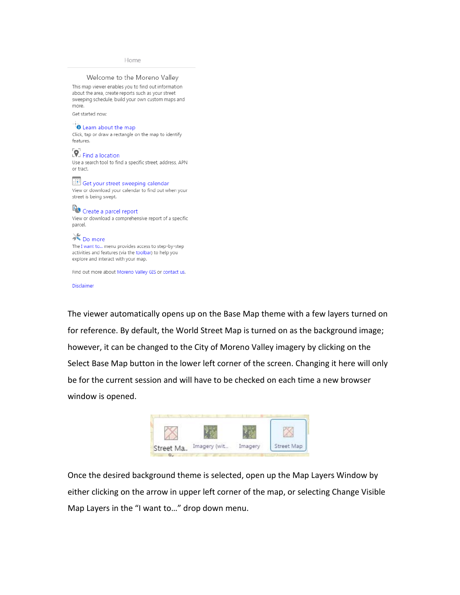Home

Welcome to the Moreno Valley This map viewer enables you to find out information about the area, create reports such as your street sweeping schedule, build your own custom maps and more. Get started now: **O** Learn about the map Click, tap or draw a rectangle on the map to identify features. P. Find a location Use a search tool to find a specific street, address, APN or tract. Get your street sweeping calendar View or download your calendar to find out when your street is being swept. **IFO** Create a parcel report View or download a comprehensive report of a specific parcel. **OO** more The I want to... menu provides access to step-by-step activities and features (via the toolbar) to help you explore and interact with your map.

Find out more about Moreno Valley GIS or contact us.

Disclaimer

The viewer automatically opens up on the Base Map theme with a few layers turned on for reference. By default, the World Street Map is turned on as the background image; however, it can be changed to the City of Moreno Valley imagery by clicking on the Select Base Map button in the lower left corner of the screen. Changing it here will only be for the current session and will have to be checked on each time a new browser window is opened.



Once the desired background theme is selected, open up the Map Layers Window by either clicking on the arrow in upper left corner of the map, or selecting Change Visible Map Layers in the "I want to…" drop down menu.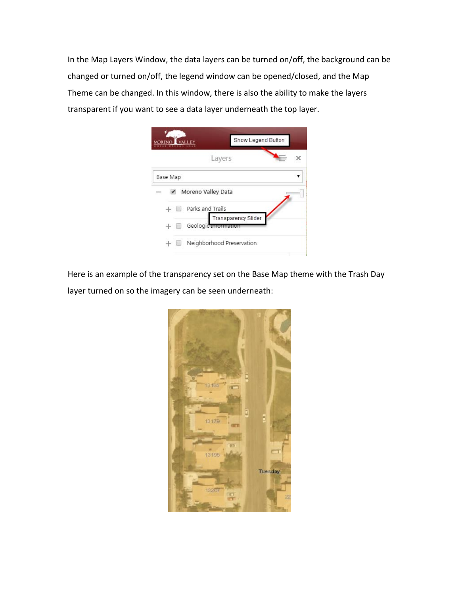In the Map Layers Window, the data layers can be turned on/off, the background can be changed or turned on/off, the legend window can be opened/closed, and the Map Theme can be changed. In this window, there is also the ability to make the layers transparent if you want to see a data layer underneath the top layer.



Here is an example of the transparency set on the Base Map theme with the Trash Day layer turned on so the imagery can be seen underneath:

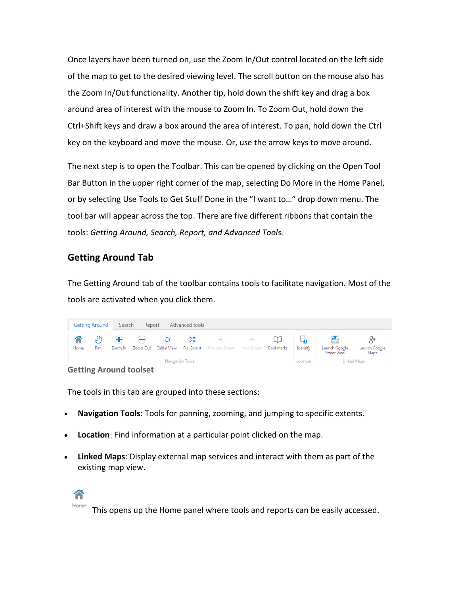Once layers have been turned on, use the Zoom In/Out control located on the left side of the map to get to the desired viewing level. The scroll button on the mouse also has the Zoom In/Out functionality. Another tip, hold down the shift key and drag a box around area of interest with the mouse to Zoom In. To Zoom Out, hold down the Ctrl+Shift keys and draw a box around the area of interest. To pan, hold down the Ctrl key on the keyboard and move the mouse. Or, use the arrow keys to move around.

The next step is to open the Toolbar. This can be opened by clicking on the Open Tool Bar Button in the upper right corner of the map, selecting Do More in the Home Panel, or by selecting Use Tools to Get Stuff Done in the "I want to…" drop down menu. The tool bar will appear across the top. There are five different ribbons that contain the tools: *Getting Around, Search, Report, and Advanced Tools.*

#### **Getting Around Tab**

The Getting Around tab of the toolbar contains tools to facilitate navigation. Most of the tools are activated when you click them.



The tools in this tab are grouped into these sections:

- **Navigation Tools**: Tools for panning, zooming, and jumping to specific extents.
- **Location**: Find information at a particular point clicked on the map.
- **Linked Maps**: Display external map services and interact with them as part of the existing map view.



This opens up the Home panel where tools and reports can be easily accessed.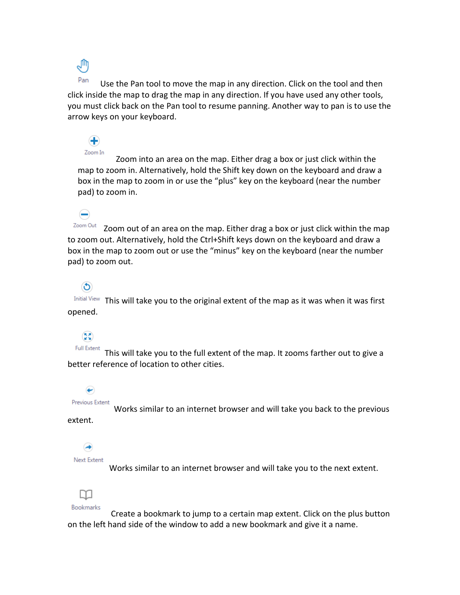ê

 $\bigoplus$ 

 $\left( \begin{matrix} \rule{0.3cm}{0.15mm} \rule{0.1cm}{0.15mm} \rule{0.1cm}{0.15mm} \rule{0.1cm}{0.15mm} \rule{0.1cm}{0.15mm} \rule{0.1cm}{0.15mm} \rule{0.1cm}{0.15mm} \rule{0.1cm}{0.15mm} \rule{0.1cm}{0.15mm} \rule{0.1cm}{0.15mm} \rule{0.1cm}{0.15mm} \rule{0.1cm}{0.15mm} \rule{0.1cm}{0.15mm} \rule{0.1cm}{0.15mm} \rule{0.1cm}{0.15mm} \rule$ 

 $\circledcirc$ 

(53)

↩

Pan Use the Pan tool to move the map in any direction. Click on the tool and then click inside the map to drag the map in any direction. If you have used any other tools, you must click back on the Pan tool to resume panning. Another way to pan is to use the arrow keys on your keyboard.

Zoom In Zoom into an area on the map. Either drag a box or just click within the map to zoom in. Alternatively, hold the Shift key down on the keyboard and draw a box in the map to zoom in or use the "plus" key on the keyboard (near the number pad) to zoom in.

Zoom Out Zoom out of an area on the map. Either drag a box or just click within the map to zoom out. Alternatively, hold the Ctrl+Shift keys down on the keyboard and draw a box in the map to zoom out or use the "minus" key on the keyboard (near the number pad) to zoom out.

Initial View This will take you to the original extent of the map as it was when it was first opened.

**Full Extent** This will take you to the full extent of the map. It zooms farther out to give a better reference of location to other cities.

Previous Extent Works similar to an internet browser and will take you back to the previous

extent.

(→ Next Extent

Works similar to an internet browser and will take you to the next extent.



 Create a bookmark to jump to a certain map extent. Click on the plus button on the left hand side of the window to add a new bookmark and give it a name.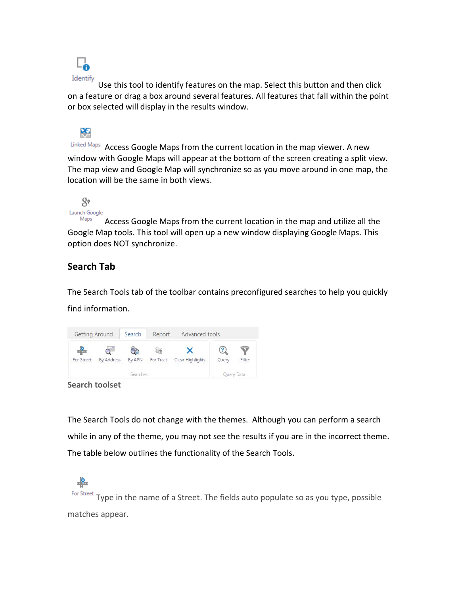

Use this tool to identify features on the map. Select this button and then click on a feature or drag a box around several features. All features that fall within the point or box selected will display in the results window.



Linked Maps Access Google Maps from the current location in the map viewer. A new window with Google Maps will appear at the bottom of the screen creating a split view. The map view and Google Map will synchronize so as you move around in one map, the location will be the same in both views.



Access Google Maps from the current location in the map and utilize all the Google Map tools. This tool will open up a new window displaying Google Maps. This option does NOT synchronize.

### **Search Tab**

The Search Tools tab of the toolbar contains preconfigured searches to help you quickly find information.



**Search toolset** 

 $\cdot$ 

The Search Tools do not change with the themes. Although you can perform a search while in any of the theme, you may not see the results if you are in the incorrect theme. The table below outlines the functionality of the Search Tools.

For Street Type in the name of a Street. The fields auto populate so as you type, possible matches appear.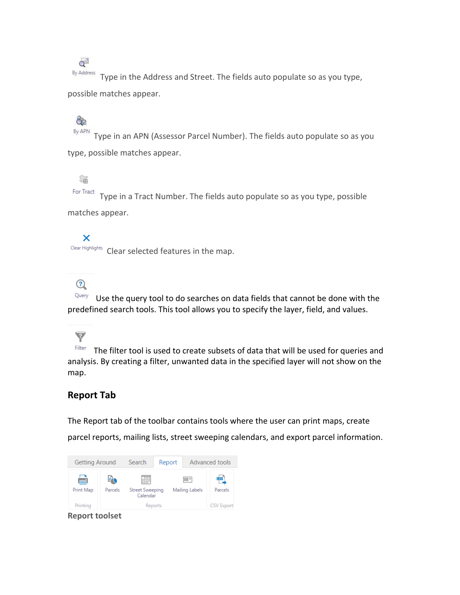$\alpha$ <sup>-1</sup>

By Address Type in the Address and Street. The fields auto populate so as you type, possible matches appear.

# $\hat{\sigma}$

By APN Type in an APN (Assessor Parcel Number). The fields auto populate so as you type, possible matches appear.

# 羈

For Tract Type in a Tract Number. The fields auto populate so as you type, possible matches appear.

#### ×

Clear Highlights Clear selected features in the map.

### $\odot$

 $\blacktriangledown$ 

Query Use the query tool to do searches on data fields that cannot be done with the predefined search tools. This tool allows you to specify the layer, field, and values.

Filter The filter tool is used to create subsets of data that will be used for queries and analysis. By creating a filter, unwanted data in the specified layer will not show on the map.

### **Report Tab**

The Report tab of the toolbar contains tools where the user can print maps, create parcel reports, mailing lists, street sweeping calendars, and export parcel information.

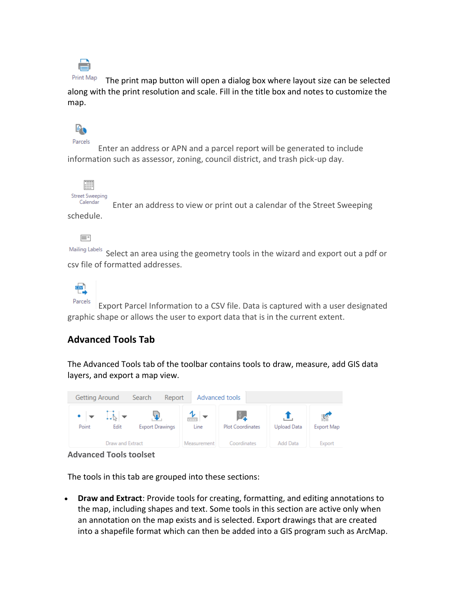

Print Map The print map button will open a dialog box where layout size can be selected along with the print resolution and scale. Fill in the title box and notes to customize the map.



Parcels

 Enter an address or APN and a parcel report will be generated to include information such as assessor, zoning, council district, and trash pick-up day.



Calendar Enter an address to view or print out a calendar of the Street Sweeping schedule.

E-

Mailing Labels Select an area using the geometry tools in the wizard and export out a pdf or csv file of formatted addresses.



Parcels Export Parcel Information to a CSV file. Data is captured with a user designated graphic shape or allows the user to export data that is in the current extent.

### **Advanced Tools Tab**

The Advanced Tools tab of the toolbar contains tools to draw, measure, add GIS data layers, and export a map view.



**Advanced Tools toolset** 

The tools in this tab are grouped into these sections:

 **Draw and Extract**: Provide tools for creating, formatting, and editing annotations to the map, including shapes and text. Some tools in this section are active only when an annotation on the map exists and is selected. Export drawings that are created into a shapefile format which can then be added into a GIS program such as ArcMap.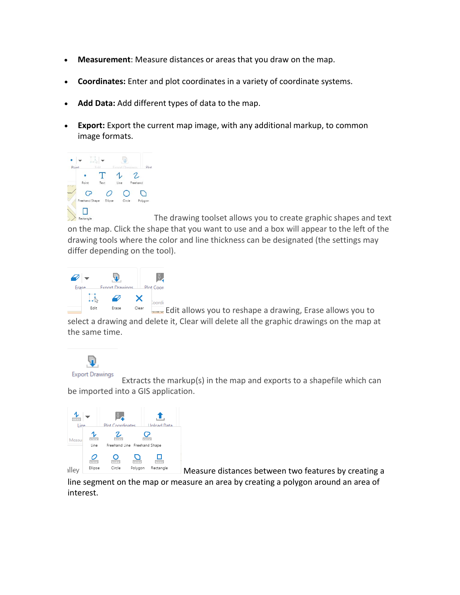- **Measurement**: Measure distances or areas that you draw on the map.
- **Coordinates:** Enter and plot coordinates in a variety of coordinate systems.
- **Add Data:** Add different types of data to the map.
- **Export:** Export the current map image, with any additional markup, to common image formats.



Rectangle The drawing toolset allows you to create graphic shapes and text on the map. Click the shape that you want to use and a box will appear to the left of the drawing tools where the color and line thickness can be designated (the settings may differ depending on the tool).



 $E_{\text{start}}$  Edit allows you to reshape a drawing, Erase allows you to select a drawing and delete it, Clear will delete all the graphic drawings on the map at the same time.



 Extracts the markup(s) in the map and exports to a shapefile which can be imported into a GIS application.



 $\Box$  Measure distances between two features by creating a

line segment on the map or measure an area by creating a polygon around an area of interest.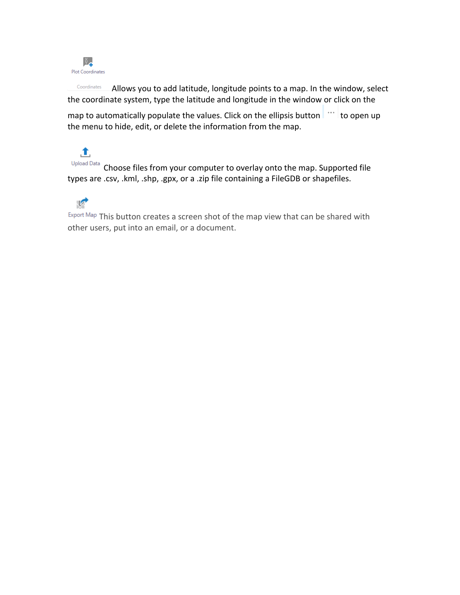

Coordinates Allows you to add latitude, longitude points to a map. In the window, select the coordinate system, type the latitude and longitude in the window or click on the

map to automatically populate the values. Click on the ellipsis button  $\|\cdot\|$  to open up the menu to hide, edit, or delete the information from the map.

土 Upload Data Choose files from your computer to overlay onto the map. Supported file types are .csv, .kml, .shp, .gpx, or a .zip file containing a FileGDB or shapefiles.



Export Map This button creates a screen shot of the map view that can be shared with other users, put into an email, or a document.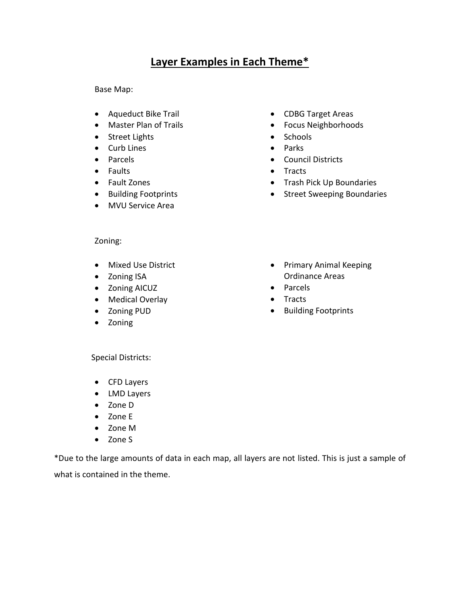# **Layer Examples in Each Theme\***

Base Map:

- Aqueduct Bike Trail
- Master Plan of Trails
- Street Lights
- Curb Lines
- Parcels
- Faults
- Fault Zones
- Building Footprints
- MVU Service Area
- CDBG Target Areas
- Focus Neighborhoods
- Schools
- Parks
- Council Districts
- Tracts
- Trash Pick Up Boundaries
- Street Sweeping Boundaries

- Zoning:
- Mixed Use District
- Zoning ISA
- Zoning AICUZ
- Medical Overlay
- Zoning PUD
- Zoning
- Primary Animal Keeping Ordinance Areas
- Parcels
- Tracts
- Building Footprints

Special Districts:

- CFD Layers
- LMD Layers
- Zone D
- Zone E
- Zone M
- Zone S

\*Due to the large amounts of data in each map, all layers are not listed. This is just a sample of what is contained in the theme.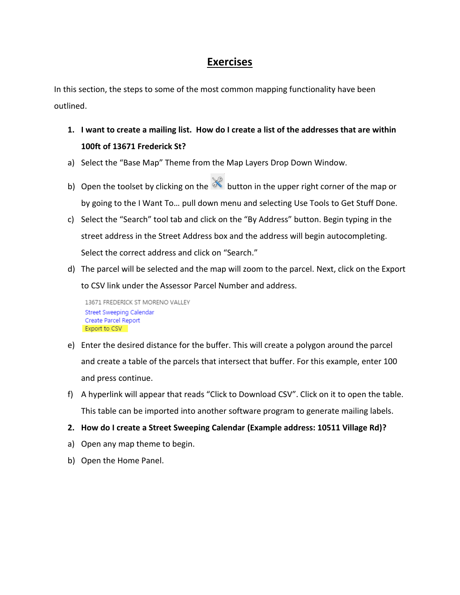### **Exercises**

In this section, the steps to some of the most common mapping functionality have been outlined.

- **1. I want to create a mailing list. How do I create a list of the addresses that are within 100ft of 13671 Frederick St?**
- a) Select the "Base Map" Theme from the Map Layers Drop Down Window.
- b) Open the toolset by clicking on the  $\mathbb R$  button in the upper right corner of the map or by going to the I Want To… pull down menu and selecting Use Tools to Get Stuff Done.
- c) Select the "Search" tool tab and click on the "By Address" button. Begin typing in the street address in the Street Address box and the address will begin autocompleting. Select the correct address and click on "Search."
- d) The parcel will be selected and the map will zoom to the parcel. Next, click on the Export to CSV link under the Assessor Parcel Number and address.

```
13671 FREDERICK ST MORENO VALLEY
Street Sweeping Calendar
Create Parcel Report
Export to CSV
```
- e) Enter the desired distance for the buffer. This will create a polygon around the parcel and create a table of the parcels that intersect that buffer. For this example, enter 100 and press continue.
- f) A hyperlink will appear that reads "Click to Download CSV". Click on it to open the table. This table can be imported into another software program to generate mailing labels.
- **2. How do I create a Street Sweeping Calendar (Example address: 10511 Village Rd)?**
- a) Open any map theme to begin.
- b) Open the Home Panel.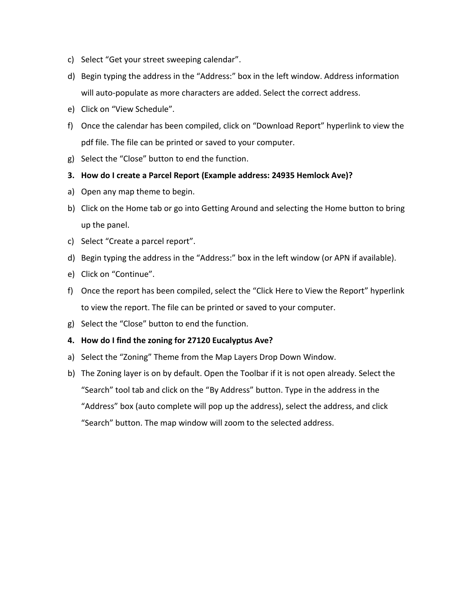- c) Select "Get your street sweeping calendar".
- d) Begin typing the address in the "Address:" box in the left window. Address information will auto-populate as more characters are added. Select the correct address.
- e) Click on "View Schedule".
- f) Once the calendar has been compiled, click on "Download Report" hyperlink to view the pdf file. The file can be printed or saved to your computer.
- g) Select the "Close" button to end the function.
- **3. How do I create a Parcel Report (Example address: 24935 Hemlock Ave)?**
- a) Open any map theme to begin.
- b) Click on the Home tab or go into Getting Around and selecting the Home button to bring up the panel.
- c) Select "Create a parcel report".
- d) Begin typing the address in the "Address:" box in the left window (or APN if available).
- e) Click on "Continue".
- f) Once the report has been compiled, select the "Click Here to View the Report" hyperlink to view the report. The file can be printed or saved to your computer.
- g) Select the "Close" button to end the function.

#### **4. How do I find the zoning for 27120 Eucalyptus Ave?**

- a) Select the "Zoning" Theme from the Map Layers Drop Down Window.
- b) The Zoning layer is on by default. Open the Toolbar if it is not open already. Select the "Search" tool tab and click on the "By Address" button. Type in the address in the "Address" box (auto complete will pop up the address), select the address, and click "Search" button. The map window will zoom to the selected address.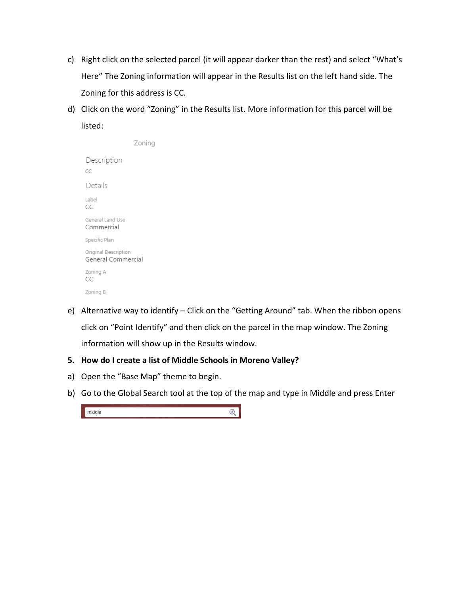- c) Right click on the selected parcel (it will appear darker than the rest) and select "What's Here" The Zoning information will appear in the Results list on the left hand side. The Zoning for this address is CC.
- d) Click on the word "Zoning" in the Results list. More information for this parcel will be listed:

|                                            | Zoning |
|--------------------------------------------|--------|
| Description<br>CC                          |        |
| Details                                    |        |
| Label<br>CC                                |        |
| General Land Use<br>Commercial             |        |
| Specific Plan                              |        |
| Original Description<br>General Commercial |        |
| Zoning A<br>CC                             |        |
| Zoning B                                   |        |

e) Alternative way to identify – Click on the "Getting Around" tab. When the ribbon opens click on "Point Identify" and then click on the parcel in the map window. The Zoning information will show up in the Results window.

#### **5. How do I create a list of Middle Schools in Moreno Valley?**

- a) Open the "Base Map" theme to begin.
- b) Go to the Global Search tool at the top of the map and type in Middle and press Enter

middle  $\mathbf{Q}$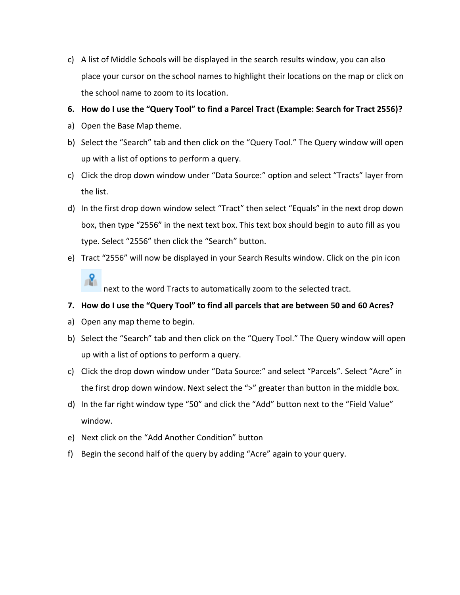c) A list of Middle Schools will be displayed in the search results window, you can also place your cursor on the school names to highlight their locations on the map or click on the school name to zoom to its location.

#### **6. How do I use the "Query Tool" to find a Parcel Tract (Example: Search for Tract 2556)?**

- a) Open the Base Map theme.
- b) Select the "Search" tab and then click on the "Query Tool." The Query window will open up with a list of options to perform a query.
- c) Click the drop down window under "Data Source:" option and select "Tracts" layer from the list.
- d) In the first drop down window select "Tract" then select "Equals" in the next drop down box, then type "2556" in the next text box. This text box should begin to auto fill as you type. Select "2556" then click the "Search" button.
- e) Tract "2556" will now be displayed in your Search Results window. Click on the pin icon

 $\mathbf{R}$ next to the word Tracts to automatically zoom to the selected tract.

#### **7. How do I use the "Query Tool" to find all parcels that are between 50 and 60 Acres?**

- a) Open any map theme to begin.
- b) Select the "Search" tab and then click on the "Query Tool." The Query window will open up with a list of options to perform a query.
- c) Click the drop down window under "Data Source:" and select "Parcels". Select "Acre" in the first drop down window. Next select the ">" greater than button in the middle box.
- d) In the far right window type "50" and click the "Add" button next to the "Field Value" window.
- e) Next click on the "Add Another Condition" button
- f) Begin the second half of the query by adding "Acre" again to your query.